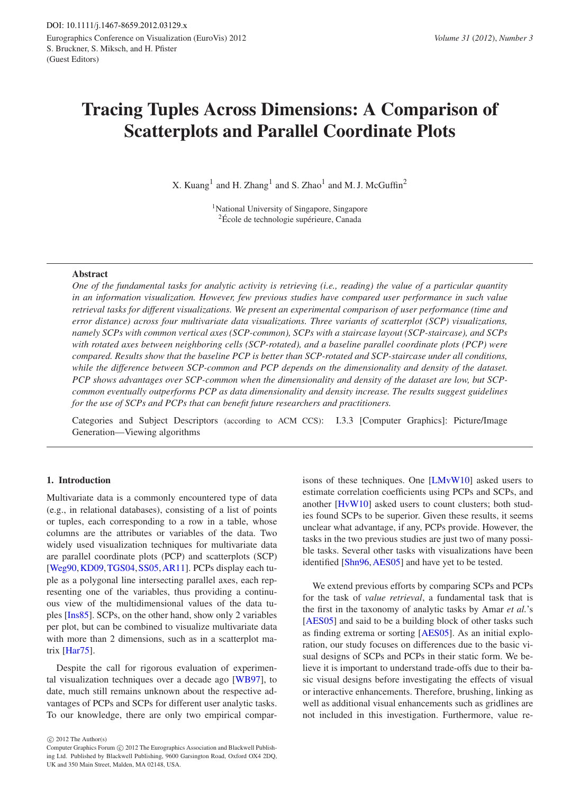# Tracing Tuples Across Dimensions: A Comparison of Scatterplots and Parallel Coordinate Plots

X. Kuang<sup>1</sup> and H. Zhang<sup>1</sup> and S. Zhao<sup>1</sup> and M. J. McGuffin<sup>2</sup>

<sup>1</sup>National University of Singapore, Singapore 2École de technologie supérieure, Canada

## Abstract

*One of the fundamental tasks for analytic activity is retrieving (i.e., reading) the value of a particular quantity in an information visualization. However, few previous studies have compared user performance in such value retrieval tasks for different visualizations. We present an experimental comparison of user performance (time and error distance) across four multivariate data visualizations. Three variants of scatterplot (SCP) visualizations, namely SCPs with common vertical axes (SCP-common), SCPs with a staircase layout (SCP-staircase), and SCPs with rotated axes between neighboring cells (SCP-rotated), and a baseline parallel coordinate plots (PCP) were compared. Results show that the baseline PCP is better than SCP-rotated and SCP-staircase under all conditions, while the difference between SCP-common and PCP depends on the dimensionality and density of the dataset. PCP shows advantages over SCP-common when the dimensionality and density of the dataset are low, but SCPcommon eventually outperforms PCP as data dimensionality and density increase. The results suggest guidelines for the use of SCPs and PCPs that can benefit future researchers and practitioners.*

Categories and Subject Descriptors (according to ACM CCS): I.3.3 [Computer Graphics]: Picture/Image Generation—Viewing algorithms

#### 1. Introduction

Multivariate data is a commonly encountered type of data (e.g., in relational databases), consisting of a list of points or tuples, each corresponding to a row in a table, whose columns are the attributes or variables of the data. Two widely used visualization techniques for multivariate data are parallel coordinate plots (PCP) and scatterplots (SCP) [Weg90,KD09,TGS04,SS05,AR11]. PCPs display each tuple as a polygonal line intersecting parallel axes, each representing one of the variables, thus providing a continuous view of the multidimensional values of the data tuples [Ins85]. SCPs, on the other hand, show only 2 variables per plot, but can be combined to visualize multivariate data with more than 2 dimensions, such as in a scatterplot matrix [Har75].

Despite the call for rigorous evaluation of experimental visualization techniques over a decade ago [WB97], to date, much still remains unknown about the respective advantages of PCPs and SCPs for different user analytic tasks. To our knowledge, there are only two empirical compar-

 $\odot$  2012 The Author(s)

isons of these techniques. One [LMvW10] asked users to estimate correlation coefficients using PCPs and SCPs, and another [HvW10] asked users to count clusters; both studies found SCPs to be superior. Given these results, it seems unclear what advantage, if any, PCPs provide. However, the tasks in the two previous studies are just two of many possible tasks. Several other tasks with visualizations have been identified [Shn96,AES05] and have yet to be tested.

We extend previous efforts by comparing SCPs and PCPs for the task of *value retrieval*, a fundamental task that is the first in the taxonomy of analytic tasks by Amar *et al.*'s [AES05] and said to be a building block of other tasks such as finding extrema or sorting [AES05]. As an initial exploration, our study focuses on differences due to the basic visual designs of SCPs and PCPs in their static form. We believe it is important to understand trade-offs due to their basic visual designs before investigating the effects of visual or interactive enhancements. Therefore, brushing, linking as well as additional visual enhancements such as gridlines are not included in this investigation. Furthermore, value re-

Computer Graphics Forum  $\odot$  2012 The Eurographics Association and Blackwell Publishing Ltd. Published by Blackwell Publishing, 9600 Garsington Road, Oxford OX4 2DQ, UK and 350 Main Street, Malden, MA 02148, USA.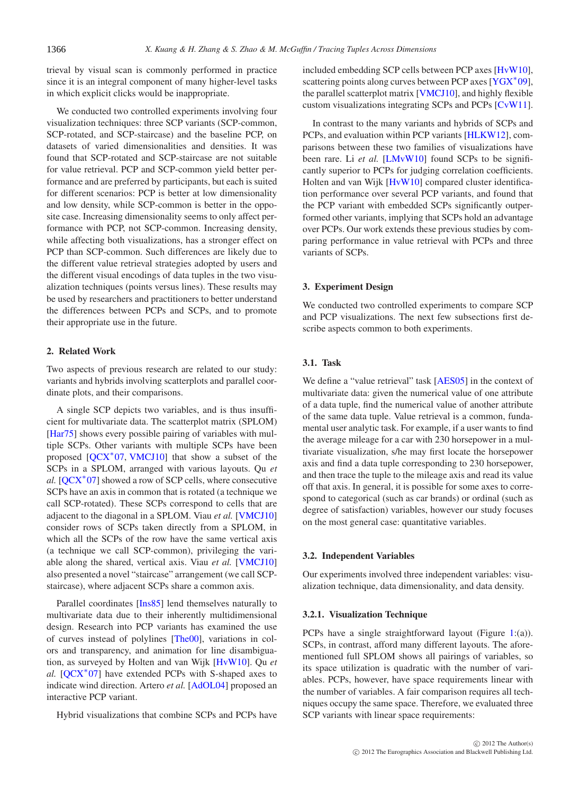trieval by visual scan is commonly performed in practice since it is an integral component of many higher-level tasks in which explicit clicks would be inappropriate.

We conducted two controlled experiments involving four visualization techniques: three SCP variants (SCP-common, SCP-rotated, and SCP-staircase) and the baseline PCP, on datasets of varied dimensionalities and densities. It was found that SCP-rotated and SCP-staircase are not suitable for value retrieval. PCP and SCP-common yield better performance and are preferred by participants, but each is suited for different scenarios: PCP is better at low dimensionality and low density, while SCP-common is better in the opposite case. Increasing dimensionality seems to only affect performance with PCP, not SCP-common. Increasing density, while affecting both visualizations, has a stronger effect on PCP than SCP-common. Such differences are likely due to the different value retrieval strategies adopted by users and the different visual encodings of data tuples in the two visualization techniques (points versus lines). These results may be used by researchers and practitioners to better understand the differences between PCPs and SCPs, and to promote their appropriate use in the future.

## 2. Related Work

Two aspects of previous research are related to our study: variants and hybrids involving scatterplots and parallel coordinate plots, and their comparisons.

A single SCP depicts two variables, and is thus insufficient for multivariate data. The scatterplot matrix (SPLOM) [Har75] shows every possible pairing of variables with multiple SCPs. Other variants with multiple SCPs have been proposed  $[QCX^*07, VMCJ10]$  that show a subset of the SCPs in a SPLOM, arranged with various layouts. Qu *et al.* [QCX∗07] showed a row of SCP cells, where consecutive SCPs have an axis in common that is rotated (a technique we call SCP-rotated). These SCPs correspond to cells that are adjacent to the diagonal in a SPLOM. Viau *et al.* [VMCJ10] consider rows of SCPs taken directly from a SPLOM, in which all the SCPs of the row have the same vertical axis (a technique we call SCP-common), privileging the variable along the shared, vertical axis. Viau *et al.* [VMCJ10] also presented a novel "staircase" arrangement (we call SCPstaircase), where adjacent SCPs share a common axis.

Parallel coordinates [Ins85] lend themselves naturally to multivariate data due to their inherently multidimensional design. Research into PCP variants has examined the use of curves instead of polylines [The00], variations in colors and transparency, and animation for line disambiguation, as surveyed by Holten and van Wijk [HvW10]. Qu *et al.* [QCX∗07] have extended PCPs with S-shaped axes to indicate wind direction. Artero *et al.* [AdOL04] proposed an interactive PCP variant.

Hybrid visualizations that combine SCPs and PCPs have

included embedding SCP cells between PCP axes [HvW10], scattering points along curves between PCP axes [YGX<sup>\*</sup>09], the parallel scatterplot matrix [VMCJ10], and highly flexible custom visualizations integrating SCPs and PCPs [CvW11].

In contrast to the many variants and hybrids of SCPs and PCPs, and evaluation within PCP variants [HLKW12], comparisons between these two families of visualizations have been rare. Li *et al.* [LMvW10] found SCPs to be significantly superior to PCPs for judging correlation coefficients. Holten and van Wijk [HvW10] compared cluster identification performance over several PCP variants, and found that the PCP variant with embedded SCPs significantly outperformed other variants, implying that SCPs hold an advantage over PCPs. Our work extends these previous studies by comparing performance in value retrieval with PCPs and three variants of SCPs.

# 3. Experiment Design

We conducted two controlled experiments to compare SCP and PCP visualizations. The next few subsections first describe aspects common to both experiments.

# 3.1. Task

We define a "value retrieval" task [AES05] in the context of multivariate data: given the numerical value of one attribute of a data tuple, find the numerical value of another attribute of the same data tuple. Value retrieval is a common, fundamental user analytic task. For example, if a user wants to find the average mileage for a car with 230 horsepower in a multivariate visualization, s/he may first locate the horsepower axis and find a data tuple corresponding to 230 horsepower, and then trace the tuple to the mileage axis and read its value off that axis. In general, it is possible for some axes to correspond to categorical (such as car brands) or ordinal (such as degree of satisfaction) variables, however our study focuses on the most general case: quantitative variables.

#### 3.2. Independent Variables

Our experiments involved three independent variables: visualization technique, data dimensionality, and data density.

#### 3.2.1. Visualization Technique

PCPs have a single straightforward layout (Figure 1:(a)). SCPs, in contrast, afford many different layouts. The aforementioned full SPLOM shows all pairings of variables, so its space utilization is quadratic with the number of variables. PCPs, however, have space requirements linear with the number of variables. A fair comparison requires all techniques occupy the same space. Therefore, we evaluated three SCP variants with linear space requirements: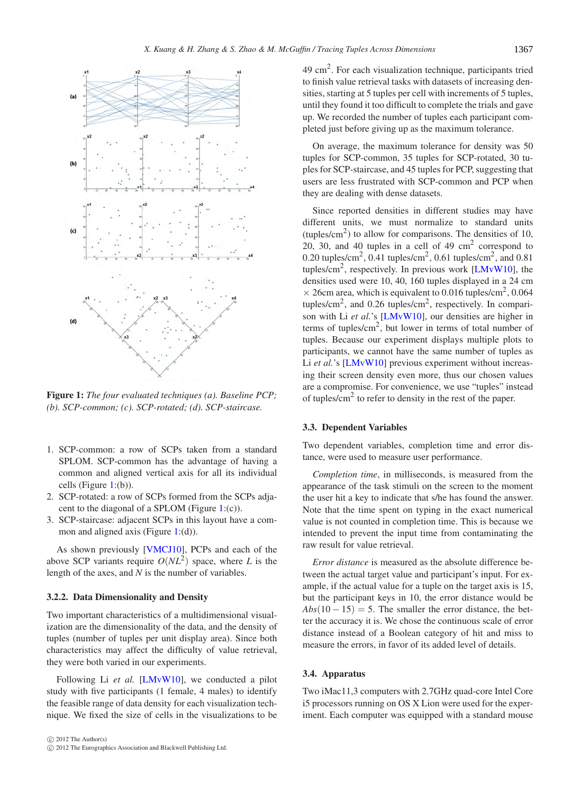

Figure 1: *The four evaluated techniques (a). Baseline PCP; (b). SCP-common; (c). SCP-rotated; (d). SCP-staircase.*

- 1. SCP-common: a row of SCPs taken from a standard SPLOM. SCP-common has the advantage of having a common and aligned vertical axis for all its individual cells (Figure 1:(b)).
- 2. SCP-rotated: a row of SCPs formed from the SCPs adjacent to the diagonal of a SPLOM (Figure 1:(c)).
- 3. SCP-staircase: adjacent SCPs in this layout have a common and aligned axis (Figure 1:(d)).

As shown previously [VMCJ10], PCPs and each of the above SCP variants require  $O(NL^2)$  space, where *L* is the length of the axes, and *N* is the number of variables.

# 3.2.2. Data Dimensionality and Density

Two important characteristics of a multidimensional visualization are the dimensionality of the data, and the density of tuples (number of tuples per unit display area). Since both characteristics may affect the difficulty of value retrieval, they were both varied in our experiments.

Following Li *et al.* [LMvW10], we conducted a pilot study with five participants (1 female, 4 males) to identify the feasible range of data density for each visualization technique. We fixed the size of cells in the visualizations to be

49  $\text{cm}^2$ . For each visualization technique, participants tried to finish value retrieval tasks with datasets of increasing densities, starting at 5 tuples per cell with increments of 5 tuples, until they found it too difficult to complete the trials and gave up. We recorded the number of tuples each participant completed just before giving up as the maximum tolerance.

On average, the maximum tolerance for density was 50 tuples for SCP-common, 35 tuples for SCP-rotated, 30 tuples for SCP-staircase, and 45 tuples for PCP, suggesting that users are less frustrated with SCP-common and PCP when they are dealing with dense datasets.

Since reported densities in different studies may have different units, we must normalize to standard units (tuples/cm<sup>2</sup>) to allow for comparisons. The densities of 10, 20, 30, and 40 tuples in a cell of 49  $\text{cm}^2$  correspond to 0.20 tuples/cm<sup>2</sup>, 0.41 tuples/cm<sup>2</sup>, 0.61 tuples/cm<sup>2</sup>, and 0.81 tuples/cm<sup>2</sup>, respectively. In previous work [LMvW10], the densities used were 10, 40, 160 tuples displayed in a 24 cm  $\times$  26cm area, which is equivalent to 0.016 tuples/cm<sup>2</sup>, 0.064 tuples/cm<sup>2</sup>, and 0.26 tuples/cm<sup>2</sup>, respectively. In comparison with Li *et al.*'s [LMvW10], our densities are higher in terms of tuples/ $\text{cm}^2$ , but lower in terms of total number of tuples. Because our experiment displays multiple plots to participants, we cannot have the same number of tuples as Li *et al.*'s [LMvW10] previous experiment without increasing their screen density even more, thus our chosen values are a compromise. For convenience, we use "tuples" instead of tuples/ $\text{cm}^2$  to refer to density in the rest of the paper.

#### 3.3. Dependent Variables

Two dependent variables, completion time and error distance, were used to measure user performance.

*Completion time*, in milliseconds, is measured from the appearance of the task stimuli on the screen to the moment the user hit a key to indicate that s/he has found the answer. Note that the time spent on typing in the exact numerical value is not counted in completion time. This is because we intended to prevent the input time from contaminating the raw result for value retrieval.

*Error distance* is measured as the absolute difference between the actual target value and participant's input. For example, if the actual value for a tuple on the target axis is 15, but the participant keys in 10, the error distance would be  $Abs(10-15) = 5$ . The smaller the error distance, the better the accuracy it is. We chose the continuous scale of error distance instead of a Boolean category of hit and miss to measure the errors, in favor of its added level of details.

## 3.4. Apparatus

Two iMac11,3 computers with 2.7GHz quad-core Intel Core i5 processors running on OS X Lion were used for the experiment. Each computer was equipped with a standard mouse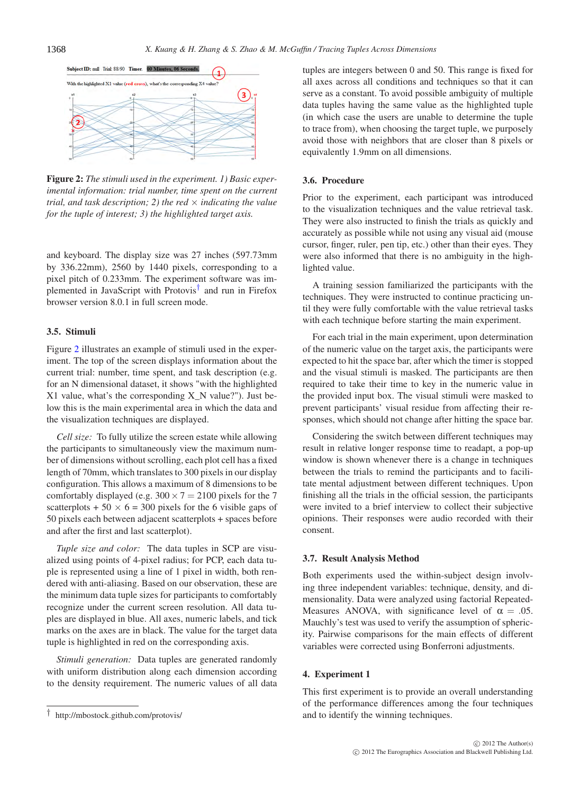

Figure 2: *The stimuli used in the experiment. 1) Basic experimental information: trial number, time spent on the current trial, and task description; 2) the red* × *indicating the value for the tuple of interest; 3) the highlighted target axis.*

and keyboard. The display size was 27 inches (597.73mm by 336.22mm), 2560 by 1440 pixels, corresponding to a pixel pitch of 0.233mm. The experiment software was implemented in JavaScript with Protovis† and run in Firefox browser version 8.0.1 in full screen mode.

# 3.5. Stimuli

Figure 2 illustrates an example of stimuli used in the experiment. The top of the screen displays information about the current trial: number, time spent, and task description (e.g. for an N dimensional dataset, it shows "with the highlighted  $X1$  value, what's the corresponding  $X_N$  value?"). Just below this is the main experimental area in which the data and the visualization techniques are displayed.

*Cell size:* To fully utilize the screen estate while allowing the participants to simultaneously view the maximum number of dimensions without scrolling, each plot cell has a fixed length of 70mm, which translates to 300 pixels in our display configuration. This allows a maximum of 8 dimensions to be comfortably displayed (e.g.  $300 \times 7 = 2100$  pixels for the 7 scatterplots  $+ 50 \times 6 = 300$  pixels for the 6 visible gaps of 50 pixels each between adjacent scatterplots + spaces before and after the first and last scatterplot).

*Tuple size and color:* The data tuples in SCP are visualized using points of 4-pixel radius; for PCP, each data tuple is represented using a line of 1 pixel in width, both rendered with anti-aliasing. Based on our observation, these are the minimum data tuple sizes for participants to comfortably recognize under the current screen resolution. All data tuples are displayed in blue. All axes, numeric labels, and tick marks on the axes are in black. The value for the target data tuple is highlighted in red on the corresponding axis.

*Stimuli generation:* Data tuples are generated randomly with uniform distribution along each dimension according to the density requirement. The numeric values of all data tuples are integers between 0 and 50. This range is fixed for all axes across all conditions and techniques so that it can serve as a constant. To avoid possible ambiguity of multiple data tuples having the same value as the highlighted tuple (in which case the users are unable to determine the tuple to trace from), when choosing the target tuple, we purposely avoid those with neighbors that are closer than 8 pixels or equivalently 1.9mm on all dimensions.

## 3.6. Procedure

Prior to the experiment, each participant was introduced to the visualization techniques and the value retrieval task. They were also instructed to finish the trials as quickly and accurately as possible while not using any visual aid (mouse cursor, finger, ruler, pen tip, etc.) other than their eyes. They were also informed that there is no ambiguity in the highlighted value.

A training session familiarized the participants with the techniques. They were instructed to continue practicing until they were fully comfortable with the value retrieval tasks with each technique before starting the main experiment.

For each trial in the main experiment, upon determination of the numeric value on the target axis, the participants were expected to hit the space bar, after which the timer is stopped and the visual stimuli is masked. The participants are then required to take their time to key in the numeric value in the provided input box. The visual stimuli were masked to prevent participants' visual residue from affecting their responses, which should not change after hitting the space bar.

Considering the switch between different techniques may result in relative longer response time to readapt, a pop-up window is shown whenever there is a change in techniques between the trials to remind the participants and to facilitate mental adjustment between different techniques. Upon finishing all the trials in the official session, the participants were invited to a brief interview to collect their subjective opinions. Their responses were audio recorded with their consent.

## 3.7. Result Analysis Method

Both experiments used the within-subject design involving three independent variables: technique, density, and dimensionality. Data were analyzed using factorial Repeated-Measures ANOVA, with significance level of  $\alpha = .05$ . Mauchly's test was used to verify the assumption of sphericity. Pairwise comparisons for the main effects of different variables were corrected using Bonferroni adjustments.

# 4. Experiment 1

This first experiment is to provide an overall understanding of the performance differences among the four techniques and to identify the winning techniques.

<sup>†</sup> http://mbostock.github.com/protovis/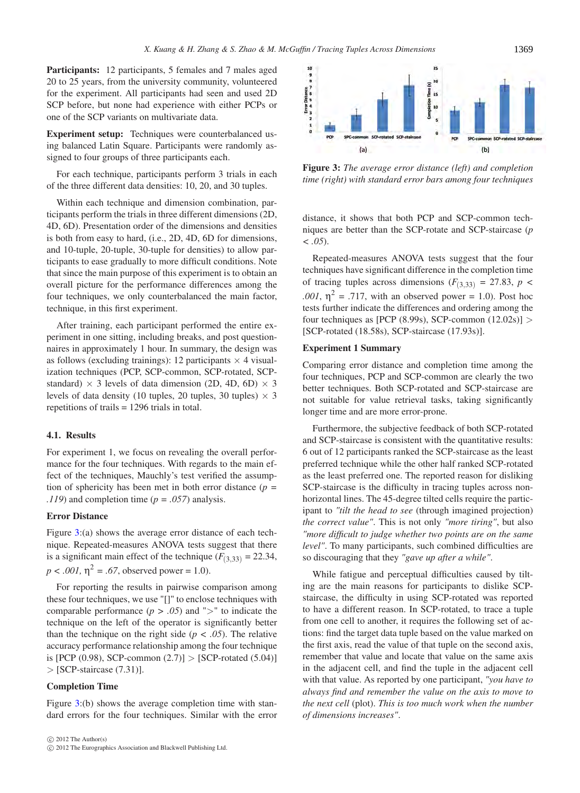Participants: 12 participants, 5 females and 7 males aged 20 to 25 years, from the university community, volunteered for the experiment. All participants had seen and used 2D SCP before, but none had experience with either PCPs or one of the SCP variants on multivariate data.

Experiment setup: Techniques were counterbalanced using balanced Latin Square. Participants were randomly assigned to four groups of three participants each.

For each technique, participants perform 3 trials in each of the three different data densities: 10, 20, and 30 tuples.

Within each technique and dimension combination, participants perform the trials in three different dimensions (2D, 4D, 6D). Presentation order of the dimensions and densities is both from easy to hard, (i.e., 2D, 4D, 6D for dimensions, and 10-tuple, 20-tuple, 30-tuple for densities) to allow participants to ease gradually to more difficult conditions. Note that since the main purpose of this experiment is to obtain an overall picture for the performance differences among the four techniques, we only counterbalanced the main factor, technique, in this first experiment.

After training, each participant performed the entire experiment in one sitting, including breaks, and post questionnaires in approximately 1 hour. In summary, the design was as follows (excluding trainings): 12 participants  $\times$  4 visualization techniques (PCP, SCP-common, SCP-rotated, SCPstandard)  $\times$  3 levels of data dimension (2D, 4D, 6D)  $\times$  3 levels of data density (10 tuples, 20 tuples, 30 tuples)  $\times$  3 repetitions of trails = 1296 trials in total.

## 4.1. Results

For experiment 1, we focus on revealing the overall performance for the four techniques. With regards to the main effect of the techniques, Mauchly's test verified the assumption of sphericity has been met in both error distance (*p = .119*) and completion time (*p = .057*) analysis.

# Error Distance

Figure 3:(a) shows the average error distance of each technique. Repeated-measures ANOVA tests suggest that there is a significant main effect of the technique  $(F_{(3,33)} = 22.34,$  $p < .001$ ,  $\eta^2 = .67$ , observed power = 1.0).

For reporting the results in pairwise comparison among these four techniques, we use "[]" to enclose techniques with comparable performance  $(p > .05)$  and ">" to indicate the technique on the left of the operator is significantly better than the technique on the right side ( $p < .05$ ). The relative accuracy performance relationship among the four technique is [PCP (0.98), SCP-common  $(2.7)$ ] > [SCP-rotated  $(5.04)$ ]  $>$  [SCP-staircase (7.31)].

#### Completion Time

Figure  $3:$ (b) shows the average completion time with standard errors for the four techniques. Similar with the error



Figure 3: *The average error distance (left) and completion time (right) with standard error bars among four techniques*

distance, it shows that both PCP and SCP-common techniques are better than the SCP-rotate and SCP-staircase (*p < .05*).

Repeated-measures ANOVA tests suggest that the four techniques have significant difference in the completion time of tracing tuples across dimensions  $(F_{(3,33)} = 27.83, p <$ *.001*,  $\eta^2$  = .717, with an observed power = 1.0). Post hoc tests further indicate the differences and ordering among the four techniques as [PCP  $(8.99s)$ , SCP-common  $(12.02s)$ ] > [SCP-rotated (18.58s), SCP-staircase (17.93s)].

#### Experiment 1 Summary

Comparing error distance and completion time among the four techniques, PCP and SCP-common are clearly the two better techniques. Both SCP-rotated and SCP-staircase are not suitable for value retrieval tasks, taking significantly longer time and are more error-prone.

Furthermore, the subjective feedback of both SCP-rotated and SCP-staircase is consistent with the quantitative results: 6 out of 12 participants ranked the SCP-staircase as the least preferred technique while the other half ranked SCP-rotated as the least preferred one. The reported reason for disliking SCP-staircase is the difficulty in tracing tuples across nonhorizontal lines. The 45-degree tilted cells require the participant to *"tilt the head to see* (through imagined projection) *the correct value"*. This is not only *"more tiring"*, but also *"more difficult to judge whether two points are on the same level"*. To many participants, such combined difficulties are so discouraging that they *"gave up after a while"*.

While fatigue and perceptual difficulties caused by tilting are the main reasons for participants to dislike SCPstaircase, the difficulty in using SCP-rotated was reported to have a different reason. In SCP-rotated, to trace a tuple from one cell to another, it requires the following set of actions: find the target data tuple based on the value marked on the first axis, read the value of that tuple on the second axis, remember that value and locate that value on the same axis in the adjacent cell, and find the tuple in the adjacent cell with that value. As reported by one participant, *"you have to always find and remember the value on the axis to move to the next cell* (plot). *This is too much work when the number of dimensions increases"*.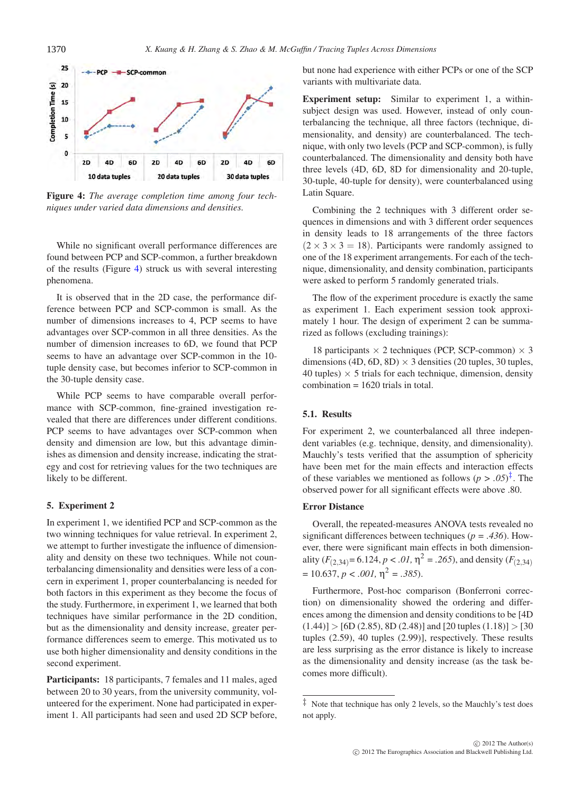

Figure 4: *The average completion time among four techniques under varied data dimensions and densities.*

While no significant overall performance differences are found between PCP and SCP-common, a further breakdown of the results (Figure 4) struck us with several interesting phenomena.

It is observed that in the 2D case, the performance difference between PCP and SCP-common is small. As the number of dimensions increases to 4, PCP seems to have advantages over SCP-common in all three densities. As the number of dimension increases to 6D, we found that PCP seems to have an advantage over SCP-common in the 10 tuple density case, but becomes inferior to SCP-common in the 30-tuple density case.

While PCP seems to have comparable overall performance with SCP-common, fine-grained investigation revealed that there are differences under different conditions. PCP seems to have advantages over SCP-common when density and dimension are low, but this advantage diminishes as dimension and density increase, indicating the strategy and cost for retrieving values for the two techniques are likely to be different.

## 5. Experiment 2

1370

In experiment 1, we identified PCP and SCP-common as the two winning techniques for value retrieval. In experiment 2, we attempt to further investigate the influence of dimensionality and density on these two techniques. While not counterbalancing dimensionality and densities were less of a concern in experiment 1, proper counterbalancing is needed for both factors in this experiment as they become the focus of the study. Furthermore, in experiment 1, we learned that both techniques have similar performance in the 2D condition, but as the dimensionality and density increase, greater performance differences seem to emerge. This motivated us to use both higher dimensionality and density conditions in the second experiment.

Participants: 18 participants, 7 females and 11 males, aged between 20 to 30 years, from the university community, volunteered for the experiment. None had participated in experiment 1. All participants had seen and used 2D SCP before, but none had experience with either PCPs or one of the SCP variants with multivariate data.

Experiment setup: Similar to experiment 1, a withinsubject design was used. However, instead of only counterbalancing the technique, all three factors (technique, dimensionality, and density) are counterbalanced. The technique, with only two levels (PCP and SCP-common), is fully counterbalanced. The dimensionality and density both have three levels (4D, 6D, 8D for dimensionality and 20-tuple, 30-tuple, 40-tuple for density), were counterbalanced using Latin Square.

Combining the 2 techniques with 3 different order sequences in dimensions and with 3 different order sequences in density leads to 18 arrangements of the three factors  $(2 \times 3 \times 3 = 18)$ . Participants were randomly assigned to one of the 18 experiment arrangements. For each of the technique, dimensionality, and density combination, participants were asked to perform 5 randomly generated trials.

The flow of the experiment procedure is exactly the same as experiment 1. Each experiment session took approximately 1 hour. The design of experiment 2 can be summarized as follows (excluding trainings):

18 participants  $\times$  2 techniques (PCP, SCP-common)  $\times$  3 dimensions (4D, 6D, 8D)  $\times$  3 densities (20 tuples, 30 tuples, 40 tuples)  $\times$  5 trials for each technique, dimension, density combination = 1620 trials in total.

# 5.1. Results

For experiment 2, we counterbalanced all three independent variables (e.g. technique, density, and dimensionality). Mauchly's tests verified that the assumption of sphericity have been met for the main effects and interaction effects of these variables we mentioned as follows ( $p > .05$ <sup>‡</sup>. The observed power for all significant effects were above .80.

# Error Distance

Overall, the repeated-measures ANOVA tests revealed no significant differences between techniques (*p = .436*). However, there were significant main effects in both dimensionality  $(F_{(2,34)} = 6.124, p < .01, \eta^2 = .265)$ , and density  $(F_{(2,34)} = 6.124, p < .01, \eta^2 = .265)$  $= 10.637, p < .001, \eta^2 = .385$ .

Furthermore, Post-hoc comparison (Bonferroni correction) on dimensionality showed the ordering and differences among the dimension and density conditions to be [4D  $(1.44)$ ] > [6D (2.85), 8D (2.48)] and [20 tuples  $(1.18)$ ] > [30 tuples (2.59), 40 tuples (2.99)], respectively. These results are less surprising as the error distance is likely to increase as the dimensionality and density increase (as the task becomes more difficult).

<sup>‡</sup> Note that technique has only 2 levels, so the Mauchly's test does not apply.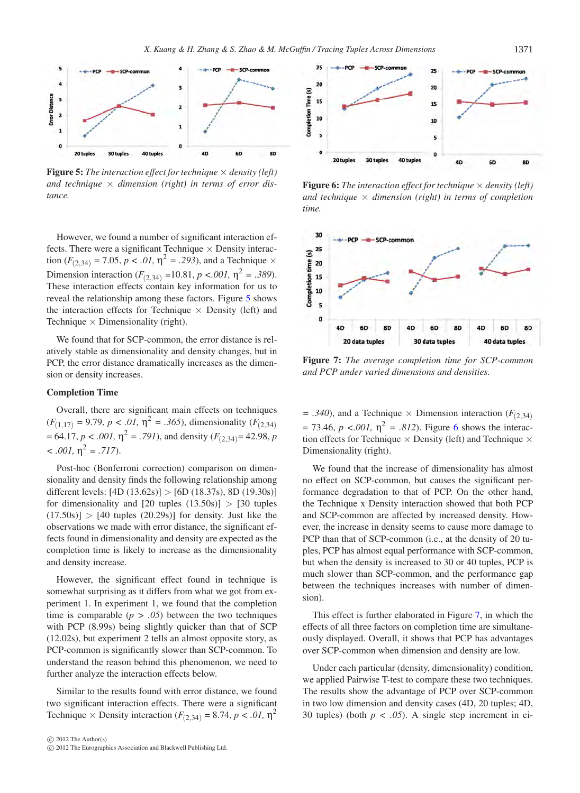

**Figure 5:** *The interaction effect for technique*  $\times$  *density (left) and technique* × *dimension (right) in terms of error distance.*

However, we found a number of significant interaction effects. There were a significant Technique  $\times$  Density interaction  $(F_{(2,34)} = 7.05, p < .01, \eta^2 = .293)$ , and a Technique  $\times$ Dimension interaction  $(F_{(2,34)} = 10.81, p < .001, \eta^2 = .389)$ . These interaction effects contain key information for us to reveal the relationship among these factors. Figure 5 shows the interaction effects for Technique  $\times$  Density (left) and Technique  $\times$  Dimensionality (right).

We found that for SCP-common, the error distance is relatively stable as dimensionality and density changes, but in PCP, the error distance dramatically increases as the dimension or density increases.

# Completion Time

Overall, there are significant main effects on techniques  $(F_{(1,17)} = 9.79, p < .01, \eta^2 = .365)$ , dimensionality  $(F_{(2,34)}$  $= 64.17, p < .001, \eta^2 = .791$ , and density  $(F_{(2,34)} = 42.98, p$  $< .001$ ,  $\eta^2 = .717$ ).

Post-hoc (Bonferroni correction) comparison on dimensionality and density finds the following relationship among different levels:  $[4D (13.62s)] > [6D (18.37s), 8D (19.30s)]$ for dimensionality and  $[20 \text{ tuples } (13.50s)] > [30 \text{ tuples }$  $(17.50s)$ ] > [40 tuples  $(20.29s)$ ] for density. Just like the observations we made with error distance, the significant effects found in dimensionality and density are expected as the completion time is likely to increase as the dimensionality and density increase.

However, the significant effect found in technique is somewhat surprising as it differs from what we got from experiment 1. In experiment 1, we found that the completion time is comparable  $(p > .05)$  between the two techniques with PCP (8.99s) being slightly quicker than that of SCP (12.02s), but experiment 2 tells an almost opposite story, as PCP-common is significantly slower than SCP-common. To understand the reason behind this phenomenon, we need to further analyze the interaction effects below.

Similar to the results found with error distance, we found two significant interaction effects. There were a significant Technique  $\times$  Density interaction ( $F_{(2,34)} = 8.74$ ,  $p < .01$ ,  $\eta^2$ 



Figure 6: *The interaction effect for technique* × *density (left) and technique* × *dimension (right) in terms of completion time.*



Figure 7: *The average completion time for SCP-common and PCP under varied dimensions and densities.*

 $= .340$ ), and a Technique  $\times$  Dimension interaction ( $F_{(2,34)}$ )  $= 73.46, p < .001, \eta^2 = .812$ . Figure 6 shows the interaction effects for Technique  $\times$  Density (left) and Technique  $\times$ Dimensionality (right).

We found that the increase of dimensionality has almost no effect on SCP-common, but causes the significant performance degradation to that of PCP. On the other hand, the Technique x Density interaction showed that both PCP and SCP-common are affected by increased density. However, the increase in density seems to cause more damage to PCP than that of SCP-common (i.e., at the density of 20 tuples, PCP has almost equal performance with SCP-common, but when the density is increased to 30 or 40 tuples, PCP is much slower than SCP-common, and the performance gap between the techniques increases with number of dimension).

This effect is further elaborated in Figure 7, in which the effects of all three factors on completion time are simultaneously displayed. Overall, it shows that PCP has advantages over SCP-common when dimension and density are low.

Under each particular (density, dimensionality) condition, we applied Pairwise T-test to compare these two techniques. The results show the advantage of PCP over SCP-common in two low dimension and density cases (4D, 20 tuples; 4D, 30 tuples) (both  $p < .05$ ). A single step increment in ei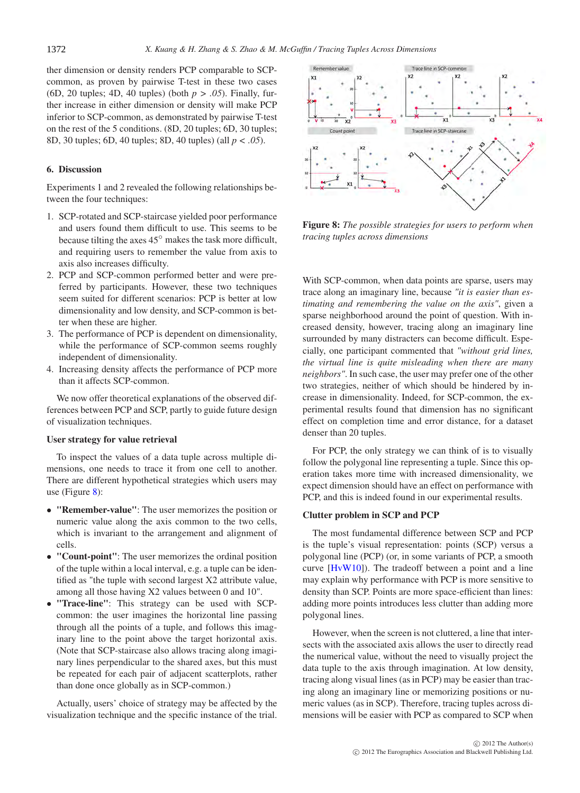ther dimension or density renders PCP comparable to SCPcommon, as proven by pairwise T-test in these two cases (6D, 20 tuples; 4D, 40 tuples) (both  $p > .05$ ). Finally, further increase in either dimension or density will make PCP inferior to SCP-common, as demonstrated by pairwise T-test on the rest of the 5 conditions. (8D, 20 tuples; 6D, 30 tuples; 8D, 30 tuples; 6D, 40 tuples; 8D, 40 tuples) (all *p < .05*).

# 6. Discussion

Experiments 1 and 2 revealed the following relationships between the four techniques:

- 1. SCP-rotated and SCP-staircase yielded poor performance and users found them difficult to use. This seems to be because tilting the axes 45◦ makes the task more difficult, and requiring users to remember the value from axis to axis also increases difficulty.
- 2. PCP and SCP-common performed better and were preferred by participants. However, these two techniques seem suited for different scenarios: PCP is better at low dimensionality and low density, and SCP-common is better when these are higher.
- 3. The performance of PCP is dependent on dimensionality, while the performance of SCP-common seems roughly independent of dimensionality.
- 4. Increasing density affects the performance of PCP more than it affects SCP-common.

We now offer theoretical explanations of the observed differences between PCP and SCP, partly to guide future design of visualization techniques.

# User strategy for value retrieval

To inspect the values of a data tuple across multiple dimensions, one needs to trace it from one cell to another. There are different hypothetical strategies which users may use (Figure 8):

- "Remember-value": The user memorizes the position or numeric value along the axis common to the two cells, which is invariant to the arrangement and alignment of cells.
- "Count-point": The user memorizes the ordinal position of the tuple within a local interval, e.g. a tuple can be identified as "the tuple with second largest X2 attribute value, among all those having X2 values between 0 and 10".
- "Trace-line": This strategy can be used with SCPcommon: the user imagines the horizontal line passing through all the points of a tuple, and follows this imaginary line to the point above the target horizontal axis. (Note that SCP-staircase also allows tracing along imaginary lines perpendicular to the shared axes, but this must be repeated for each pair of adjacent scatterplots, rather than done once globally as in SCP-common.)

Actually, users' choice of strategy may be affected by the visualization technique and the specific instance of the trial.



Figure 8: *The possible strategies for users to perform when tracing tuples across dimensions*

With SCP-common, when data points are sparse, users may trace along an imaginary line, because *"it is easier than estimating and remembering the value on the axis"*, given a sparse neighborhood around the point of question. With increased density, however, tracing along an imaginary line surrounded by many distracters can become difficult. Especially, one participant commented that *"without grid lines, the virtual line is quite misleading when there are many neighbors"*. In such case, the user may prefer one of the other two strategies, neither of which should be hindered by increase in dimensionality. Indeed, for SCP-common, the experimental results found that dimension has no significant effect on completion time and error distance, for a dataset denser than 20 tuples.

For PCP, the only strategy we can think of is to visually follow the polygonal line representing a tuple. Since this operation takes more time with increased dimensionality, we expect dimension should have an effect on performance with PCP, and this is indeed found in our experimental results.

# Clutter problem in SCP and PCP

The most fundamental difference between SCP and PCP is the tuple's visual representation: points (SCP) versus a polygonal line (PCP) (or, in some variants of PCP, a smooth curve [HvW10]). The tradeoff between a point and a line may explain why performance with PCP is more sensitive to density than SCP. Points are more space-efficient than lines: adding more points introduces less clutter than adding more polygonal lines.

However, when the screen is not cluttered, a line that intersects with the associated axis allows the user to directly read the numerical value, without the need to visually project the data tuple to the axis through imagination. At low density, tracing along visual lines (as in PCP) may be easier than tracing along an imaginary line or memorizing positions or numeric values (as in SCP). Therefore, tracing tuples across dimensions will be easier with PCP as compared to SCP when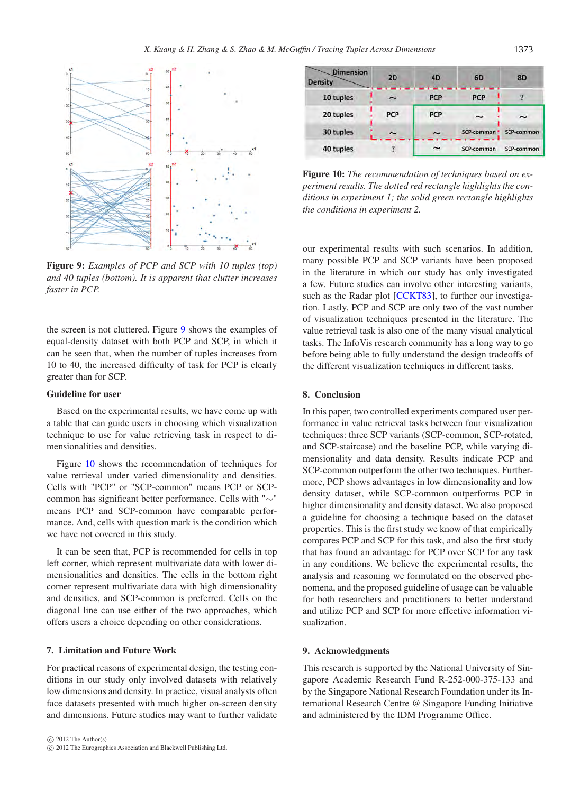

Figure 9: *Examples of PCP and SCP with 10 tuples (top) and 40 tuples (bottom). It is apparent that clutter increases faster in PCP.*

the screen is not cluttered. Figure 9 shows the examples of equal-density dataset with both PCP and SCP, in which it can be seen that, when the number of tuples increases from 10 to 40, the increased difficulty of task for PCP is clearly greater than for SCP.

# Guideline for user

Based on the experimental results, we have come up with a table that can guide users in choosing which visualization technique to use for value retrieving task in respect to dimensionalities and densities.

Figure 10 shows the recommendation of techniques for value retrieval under varied dimensionality and densities. Cells with "PCP" or "SCP-common" means PCP or SCPcommon has significant better performance. Cells with "∼" means PCP and SCP-common have comparable performance. And, cells with question mark is the condition which we have not covered in this study.

It can be seen that, PCP is recommended for cells in top left corner, which represent multivariate data with lower dimensionalities and densities. The cells in the bottom right corner represent multivariate data with high dimensionality and densities, and SCP-common is preferred. Cells on the diagonal line can use either of the two approaches, which offers users a choice depending on other considerations.

# 7. Limitation and Future Work

For practical reasons of experimental design, the testing conditions in our study only involved datasets with relatively low dimensions and density. In practice, visual analysts often face datasets presented with much higher on-screen density and dimensions. Future studies may want to further validate



Figure 10: *The recommendation of techniques based on experiment results. The dotted red rectangle highlights the conditions in experiment 1; the solid green rectangle highlights the conditions in experiment 2.*

our experimental results with such scenarios. In addition, many possible PCP and SCP variants have been proposed in the literature in which our study has only investigated a few. Future studies can involve other interesting variants, such as the Radar plot [CCKT83], to further our investigation. Lastly, PCP and SCP are only two of the vast number of visualization techniques presented in the literature. The value retrieval task is also one of the many visual analytical tasks. The InfoVis research community has a long way to go before being able to fully understand the design tradeoffs of the different visualization techniques in different tasks.

# 8. Conclusion

In this paper, two controlled experiments compared user performance in value retrieval tasks between four visualization techniques: three SCP variants (SCP-common, SCP-rotated, and SCP-staircase) and the baseline PCP, while varying dimensionality and data density. Results indicate PCP and SCP-common outperform the other two techniques. Furthermore, PCP shows advantages in low dimensionality and low density dataset, while SCP-common outperforms PCP in higher dimensionality and density dataset. We also proposed a guideline for choosing a technique based on the dataset properties. This is the first study we know of that empirically compares PCP and SCP for this task, and also the first study that has found an advantage for PCP over SCP for any task in any conditions. We believe the experimental results, the analysis and reasoning we formulated on the observed phenomena, and the proposed guideline of usage can be valuable for both researchers and practitioners to better understand and utilize PCP and SCP for more effective information visualization.

# 9. Acknowledgments

This research is supported by the National University of Singapore Academic Research Fund R-252-000-375-133 and by the Singapore National Research Foundation under its International Research Centre @ Singapore Funding Initiative and administered by the IDM Programme Office.